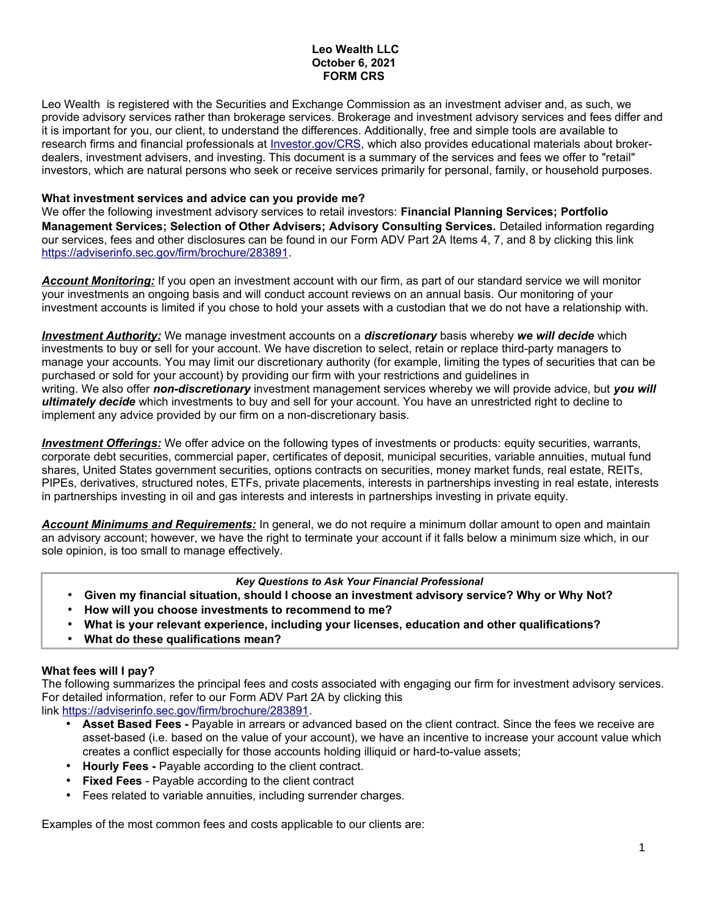### **Leo Wealth LLC October 6, 2021 FORM CRS**

Leo Wealth is registered with the Securities and Exchange Commission as an investment adviser and, as such, we provide advisory services rather than brokerage services. Brokerage and investment advisory services and fees differ and it is important for you, our client, to understand the differences. Additionally, free and simple tools are available to research firms and financial professionals at *Investor.gov/CRS*, which also provides educational materials about brokerdealers, investment advisers, and investing. This document is a summary of the services and fees we offer to "retail" investors, which are natural persons who seek or receive services primarily for personal, family, or household purposes.

### **What investment services and advice can you provide me?**

We offer the following investment advisory services to retail investors: **Financial Planning Services; Portfolio Management Services; Selection of Other Advisers; Advisory Consulting Services.** Detailed information regarding our services, fees and other disclosures can be found in our Form ADV Part 2A Items 4, 7, and 8 by clicking this link https://adviserinfo.sec.gov/firm/brochure/283891.

*Account Monitoring:* If you open an investment account with our firm, as part of our standard service we will monitor your investments an ongoing basis and will conduct account reviews on an annual basis. Our monitoring of your investment accounts is limited if you chose to hold your assets with a custodian that we do not have a relationship with.

 *Investment Authority :* We manage investment accounts on a *discretionary* basis whereby *we will decide* which investments to buy or sell for your account. We have discretion to select, retain or replace third-party managers to manage your accounts. You may limit our discretionary authority (for example, limiting the types of securities that can be purchased or sold for your account) by providing our firm with your restrictions and guidelines in writing. We also offer *non-discretionary* investment management services whereby we will provide advice, but *you will ultimately decide* which investments to buy and sell for your account. You have an unrestricted right to decline to implement any advice provided by our firm on a non-discretionary basis.

 *Investment Offerings:* We offer advice on the following types of investments or products: equity securities, warrants, corporate debt securities, commercial paper, certificates of deposit, municipal securities, variable annuities, mutual fund shares, United States government securities, options contracts on securities, money market funds, real estate, REITs, PIPEs, derivatives, structured notes, ETFs, private placements, interests in partnerships investing in real estate, interests in partnerships investing in oil and gas interests and interests in partnerships investing in private equity.

*Account Minimums and Requirements:* In general, we do not require a minimum dollar amount to open and maintain an advisory account; however, we have the right to terminate your account if it falls below a minimum size which, in our sole opinion, is too small to manage effectively.

### *Key Questions to Ask Your Financial Professional*

- **Given my financial situation, should I choose an investment advisory service? Why or Why Not?**
- **How will you choose investments to recommend to me?**
- **What is your relevant experience, including your licenses, education and other qualifications?**
- **What do these qualifications mean?**

# **What fees will I pay?**

The following summarizes the principal fees and costs associated with engaging our firm for investment advisory services. For detailed information, refer to our Form ADV Part 2A by clicking this link https://adviserinfo.sec.gov/firm/brochure/283891.

- **Asset Based Fees -** Payable in arrears or advanced based on the client contract. Since the fees we receive are asset-based (i.e. based on the value of your account), we have an incentive to increase your account value which creates a conflict especially for those accounts holding illiquid or hard-to-value assets;
- **Hourly Fees -** Payable according to the client contract.
- **Fixed Fees** Payable according to the client contract
- Fees related to variable annuities, including surrender charges.

Examples of the most common fees and costs applicable to our clients are: